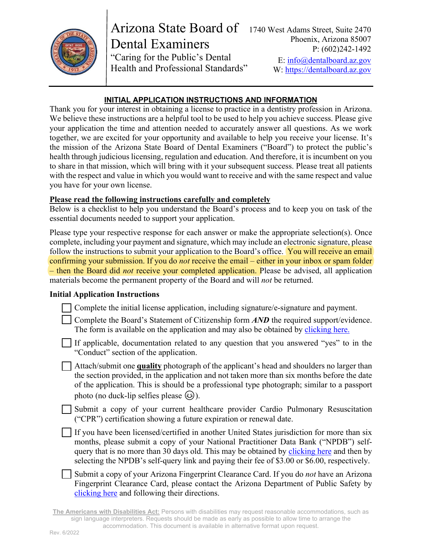

Arizona State Board of Dental Examiners "Caring for the Public's Dental Health and Professional Standards" W: https://dentalboard.az.gov

## **INITIAL APPLICATION INSTRUCTIONS AND INFORMATION**

Thank you for your interest in obtaining a license to practice in a dentistry profession in Arizona. We believe these instructions are a helpful tool to be used to help you achieve success. Please give your application the time and attention needed to accurately answer all questions. As we work together, we are excited for your opportunity and available to help you receive your license. It's the mission of the Arizona State Board of Dental Examiners ("Board") to protect the public's health through judicious licensing, regulation and education. And therefore, it is incumbent on you to share in that mission, which will bring with it your subsequent success. Please treat all patients with the respect and value in which you would want to receive and with the same respect and value you have for your own license.

## **Please read the following instructions carefully and completely**

Below is a checklist to help you understand the Board's process and to keep you on task of the essential documents needed to support your application.

Please type your respective response for each answer or make the appropriate selection(s). Once complete, including your payment and signature, which may include an electronic signature, please follow the instructions to submit your application to the Board's office. You will receive an email confirming your submission. If you do *not* receive the email – either in your inbox or spam folder – then the Board did *not* receive your completed application. Please be advised, all application materials become the permanent property of the Board and will *not* be returned.

# **Initial Application Instructions**

| Complete the initial license application, including signature/e-signature and payment. |  |  |  |
|----------------------------------------------------------------------------------------|--|--|--|
|                                                                                        |  |  |  |
|                                                                                        |  |  |  |
|                                                                                        |  |  |  |

Complete the Board's Statement of Citizenship form *AND* the required support/evidence. The form is available on the application and may also be obtained by [clicking here.](https://dentalboard.az.gov/sites/default/files/2022-04/STATEMENT%20OF%20CITIZENSHIP_0.pdf) 

If applicable, documentation related to any question that you answered "yes" to in the "Conduct" section of the application.

Attach/submit one **quality** photograph of the applicant's head and shoulders no larger than the section provided, in the application and not taken more than six months before the date of the application. This is should be a professional type photograph; similar to a passport photo (no duck-lip selfies please  $\circled{e}$ ).

Submit a copy of your current healthcare provider Cardio Pulmonary Resuscitation ("CPR") certification showing a future expiration or renewal date.

If you have been licensed/certified in another United States jurisdiction for more than six months, please submit a copy of your National Practitioner Data Bank ("NPDB") selfquery that is no more than 30 days old. This may be obtained by [clicking here](https://www.npdb.hrsa.gov/) and then by selecting the NPDB's self-query link and paying their fee of \$3.00 or \$6.00, respectively.

Submit a copy of your Arizona Fingerprint Clearance Card. If you do *not* have an Arizona Fingerprint Clearance Card, please contact the Arizona Department of Public Safety by [clicking here](https://www.azdps.gov/services/public/fingerprint) and following their directions.

**The Americans with Disabilities Act:** Persons with disabilities may request reasonable accommodations, such as sign language interpreters. Requests should be made as early as possible to allow time to arrange the accommodation. This document is available in alternative format upon request.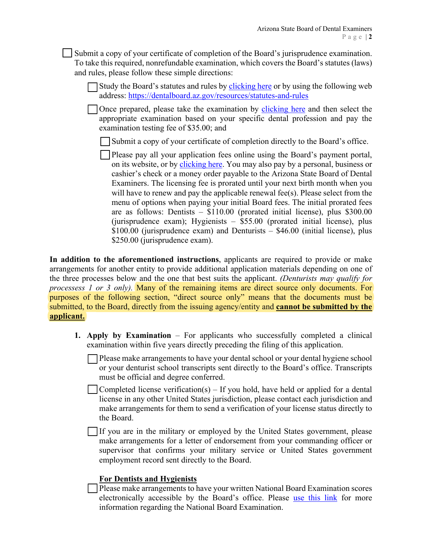Submit a copy of your certificate of completion of the Board's jurisprudence examination. To take this required, nonrefundable examination, which covers the Board's statutes (laws) and rules, please follow these simple directions:

Study the Board's statutes and rules by [clicking here](https://acrobat.adobe.com/link/track?uri=urn:aaid:scds:US:99efabbd-7ae0-3ff2-9c5b-a764dbb4e2bb#pageNum=1) or by using the following web address: https://dentalboard.az.gov/resources/statutes-and-rules

Once prepared, please take the examination by [clicking here](https://txn.esslearning.com/catalogs/azbde/) and then select the appropriate examination based on your specific dental profession and pay the examination testing fee of \$35.00; and

Submit a copy of your certificate of completion directly to the Board's office.

Please pay all your application fees online using the Board's payment portal, on its website, or by [clicking here.](https://dentalpay.az.gov/) You may also pay by a personal, business or cashier's check or a money order payable to the Arizona State Board of Dental Examiners. The licensing fee is prorated until your next birth month when you will have to renew and pay the applicable renewal fee(s). Please select from the menu of options when paying your initial Board fees. The initial prorated fees are as follows: Dentists –  $$110.00$  (prorated initial license), plus  $$300.00$ (jurisprudence exam); Hygienists – \$55.00 (prorated initial license), plus  $$100.00$  (jurisprudence exam) and Denturists –  $$46.00$  (initial license), plus \$250.00 (jurisprudence exam).

**In addition to the aforementioned instructions**, applicants are required to provide or make arrangements for another entity to provide additional application materials depending on one of the three processes below and the one that best suits the applicant. *(Denturists may qualify for processess 1 or 3 only).* Many of the remaining items are direct source only documents. For purposes of the following section, "direct source only" means that the documents must be submitted, to the Board, directly from the issuing agency/entity and **cannot be submitted by the applicant.** 

- **1. Apply by Examination** For applicants who successfully completed a clinical examination within five years directly preceding the filing of this application.
	- Please make arrangements to have your dental school or your dental hygiene school or your denturist school transcripts sent directly to the Board's office. Transcripts must be official and degree conferred.
	- Completed license verification(s) If you hold, have held or applied for a dental license in any other United States jurisdiction, please contact each jurisdiction and make arrangements for them to send a verification of your license status directly to the Board.

If you are in the military or employed by the United States government, please make arrangements for a letter of endorsement from your commanding officer or supervisor that confirms your military service or United States government employment record sent directly to the Board.

## **For Dentists and Hygienists**

Please make arrangements to have your written National Board Examination scores electronically accessible by the Board's office. Please [use this link](https://jcnde.ada.org/en/examinations) for more information regarding the National Board Examination.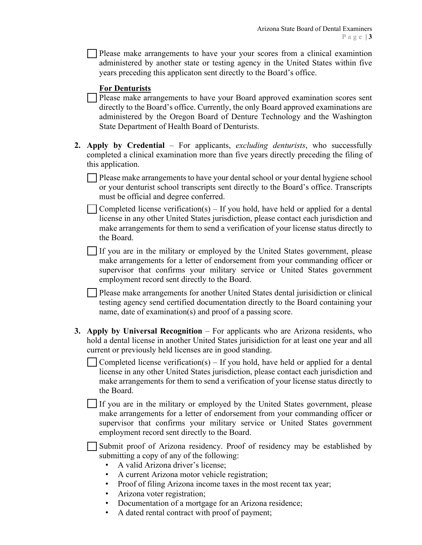Please make arrangements to have your your scores from a clinical examintion administered by another state or testing agency in the United States within five years preceding this applicaton sent directly to the Board's office.

#### **For Denturists**

Please make arrangements to have your Board approved examination scores sent directly to the Board's office. Currently, the only Board approved examinations are administered by the Oregon Board of Denture Technology and the Washington State Department of Health Board of Denturists.

**2. Apply by Credential** – For applicants, *excluding denturists*, who successfully completed a clinical examination more than five years directly preceding the filing of this application.

Please make arrangements to have your dental school or your dental hygiene school or your denturist school transcripts sent directly to the Board's office. Transcripts must be official and degree conferred.

Completed license verification(s) – If you hold, have held or applied for a dental license in any other United States jurisdiction, please contact each jurisdiction and make arrangements for them to send a verification of your license status directly to the Board.

If you are in the military or employed by the United States government, please make arrangements for a letter of endorsement from your commanding officer or supervisor that confirms your military service or United States government employment record sent directly to the Board.

Please make arrangements for another United States dental jurisidiction or clinical testing agency send certified documentation directly to the Board containing your name, date of examination(s) and proof of a passing score.

**3. Apply by Universal Recognition** – For applicants who are Arizona residents, who hold a dental license in another United States jurisidiction for at least one year and all current or previously held licenses are in good standing.

Completed license verification(s)  $-$  If you hold, have held or applied for a dental license in any other United States jurisdiction, please contact each jurisdiction and make arrangements for them to send a verification of your license status directly to the Board.

If you are in the military or employed by the United States government, please make arrangements for a letter of endorsement from your commanding officer or supervisor that confirms your military service or United States government employment record sent directly to the Board.

Submit proof of Arizona residency. Proof of residency may be established by  $\blacksquare$ submitting a copy of any of the following:

- A valid Arizona driver's license;
- A current Arizona motor vehicle registration;
- Proof of filing Arizona income taxes in the most recent tax year;
- Arizona voter registration;
- Documentation of a mortgage for an Arizona residence;
- A dated rental contract with proof of payment;